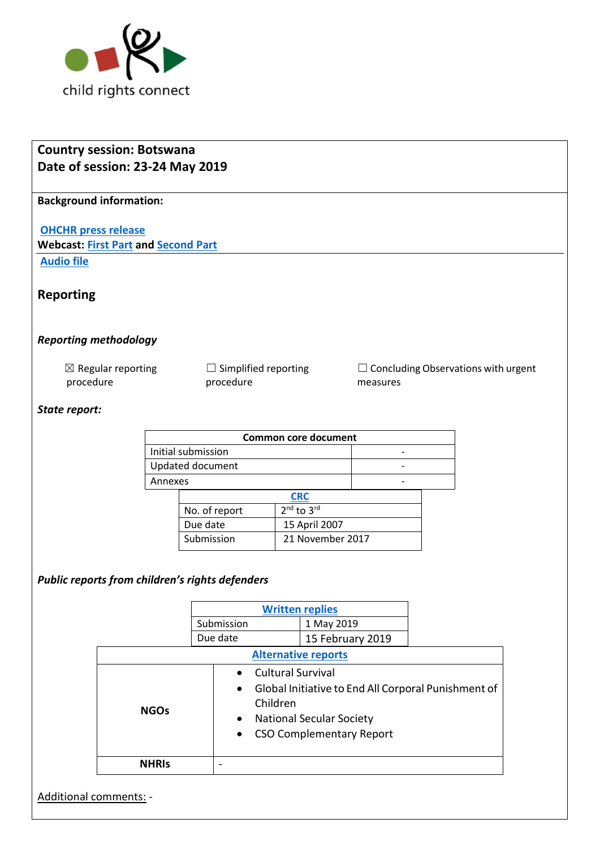

| <b>Country session: Botswana</b><br>Date of session: 23-24 May 2019 |              |  |                                                                                                                                                                                             |  |                                   |                                                        |  |  |  |
|---------------------------------------------------------------------|--------------|--|---------------------------------------------------------------------------------------------------------------------------------------------------------------------------------------------|--|-----------------------------------|--------------------------------------------------------|--|--|--|
| <b>Background information:</b>                                      |              |  |                                                                                                                                                                                             |  |                                   |                                                        |  |  |  |
| <b>OHCHR press release</b>                                          |              |  |                                                                                                                                                                                             |  |                                   |                                                        |  |  |  |
| <b>Webcast: First Part and Second Part</b><br><b>Audio file</b>     |              |  |                                                                                                                                                                                             |  |                                   |                                                        |  |  |  |
|                                                                     |              |  |                                                                                                                                                                                             |  |                                   |                                                        |  |  |  |
| <b>Reporting</b>                                                    |              |  |                                                                                                                                                                                             |  |                                   |                                                        |  |  |  |
| <b>Reporting methodology</b>                                        |              |  |                                                                                                                                                                                             |  |                                   |                                                        |  |  |  |
| $\boxtimes$ Regular reporting<br>procedure                          |              |  | $\Box$ Simplified reporting<br>procedure                                                                                                                                                    |  |                                   | $\Box$ Concluding Observations with urgent<br>measures |  |  |  |
| State report:                                                       |              |  |                                                                                                                                                                                             |  |                                   |                                                        |  |  |  |
|                                                                     |              |  |                                                                                                                                                                                             |  | <b>Common core document</b>       |                                                        |  |  |  |
| Initial submission                                                  |              |  |                                                                                                                                                                                             |  |                                   |                                                        |  |  |  |
| Updated document                                                    |              |  |                                                                                                                                                                                             |  |                                   |                                                        |  |  |  |
| Annexes                                                             |              |  |                                                                                                                                                                                             |  |                                   |                                                        |  |  |  |
|                                                                     |              |  | <b>CRC</b>                                                                                                                                                                                  |  |                                   |                                                        |  |  |  |
|                                                                     |              |  | 2 <sup>nd</sup> to 3rd<br>No. of report                                                                                                                                                     |  |                                   |                                                        |  |  |  |
|                                                                     |              |  | Due date<br>Submission                                                                                                                                                                      |  | 15 April 2007<br>21 November 2017 |                                                        |  |  |  |
|                                                                     |              |  |                                                                                                                                                                                             |  |                                   |                                                        |  |  |  |
| Public reports from children's rights defenders                     |              |  |                                                                                                                                                                                             |  |                                   |                                                        |  |  |  |
|                                                                     |              |  | <b>Written replies</b>                                                                                                                                                                      |  |                                   |                                                        |  |  |  |
|                                                                     |              |  | Submission<br>Due date                                                                                                                                                                      |  | 1 May 2019<br>15 February 2019    |                                                        |  |  |  |
|                                                                     |              |  | <b>Alternative reports</b>                                                                                                                                                                  |  |                                   |                                                        |  |  |  |
|                                                                     |              |  |                                                                                                                                                                                             |  |                                   |                                                        |  |  |  |
|                                                                     | <b>NGOs</b>  |  | <b>Cultural Survival</b><br>$\bullet$<br>Global Initiative to End All Corporal Punishment of<br>Children<br><b>National Secular Society</b><br><b>CSO Complementary Report</b><br>$\bullet$ |  |                                   |                                                        |  |  |  |
|                                                                     | <b>NHRIS</b> |  | $\overline{a}$                                                                                                                                                                              |  |                                   |                                                        |  |  |  |
| Additional comments: -                                              |              |  |                                                                                                                                                                                             |  |                                   |                                                        |  |  |  |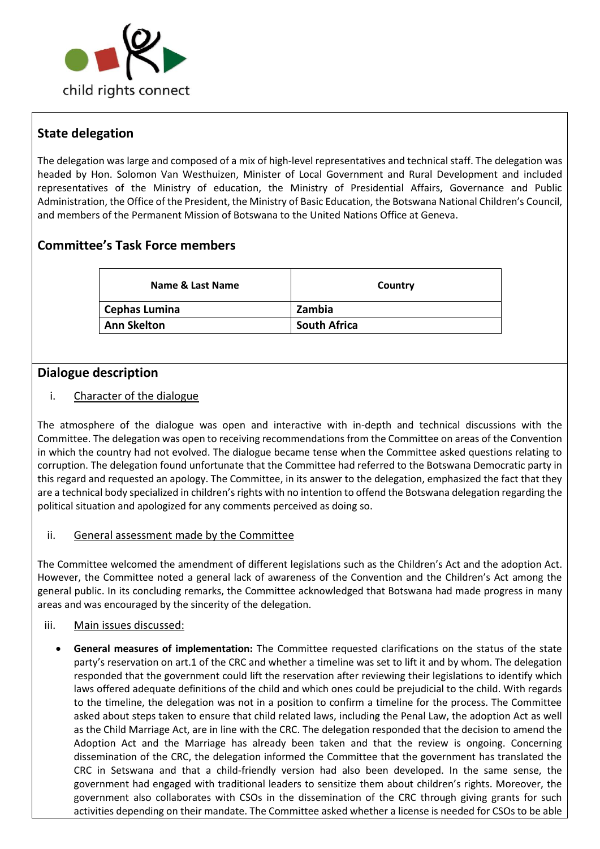

# **State delegation**

The delegation was large and composed of a mix of high-level representatives and technical staff. The delegation was headed by Hon. Solomon Van Westhuizen, Minister of Local Government and Rural Development and included representatives of the Ministry of education, the Ministry of Presidential Affairs, Governance and Public Administration, the Office of the President, the Ministry of Basic Education, the Botswana National Children's Council, and members of the Permanent Mission of Botswana to the United Nations Office at Geneva.

# **Committee's Task Force members**

| Name & Last Name   | Country             |  |  |
|--------------------|---------------------|--|--|
| Cephas Lumina      | Zambia              |  |  |
| <b>Ann Skelton</b> | <b>South Africa</b> |  |  |

## **Dialogue description**

### i. Character of the dialogue

The atmosphere of the dialogue was open and interactive with in-depth and technical discussions with the Committee. The delegation was open to receiving recommendations from the Committee on areas of the Convention in which the country had not evolved. The dialogue became tense when the Committee asked questions relating to corruption. The delegation found unfortunate that the Committee had referred to the Botswana Democratic party in this regard and requested an apology. The Committee, in its answer to the delegation, emphasized the fact that they are a technical body specialized in children's rights with no intention to offend the Botswana delegation regarding the political situation and apologized for any comments perceived as doing so.

#### ii. General assessment made by the Committee

The Committee welcomed the amendment of different legislations such as the Children's Act and the adoption Act. However, the Committee noted a general lack of awareness of the Convention and the Children's Act among the general public. In its concluding remarks, the Committee acknowledged that Botswana had made progress in many areas and was encouraged by the sincerity of the delegation.

#### iii. Main issues discussed:

• **General measures of implementation:** The Committee requested clarifications on the status of the state party's reservation on art.1 of the CRC and whether a timeline was set to lift it and by whom. The delegation responded that the government could lift the reservation after reviewing their legislations to identify which laws offered adequate definitions of the child and which ones could be prejudicial to the child. With regards to the timeline, the delegation was not in a position to confirm a timeline for the process. The Committee asked about steps taken to ensure that child related laws, including the Penal Law, the adoption Act as well as the Child Marriage Act, are in line with the CRC. The delegation responded that the decision to amend the Adoption Act and the Marriage has already been taken and that the review is ongoing. Concerning dissemination of the CRC, the delegation informed the Committee that the government has translated the CRC in Setswana and that a child-friendly version had also been developed. In the same sense, the government had engaged with traditional leaders to sensitize them about children's rights. Moreover, the government also collaborates with CSOs in the dissemination of the CRC through giving grants for such activities depending on their mandate. The Committee asked whether a license is needed for CSOs to be able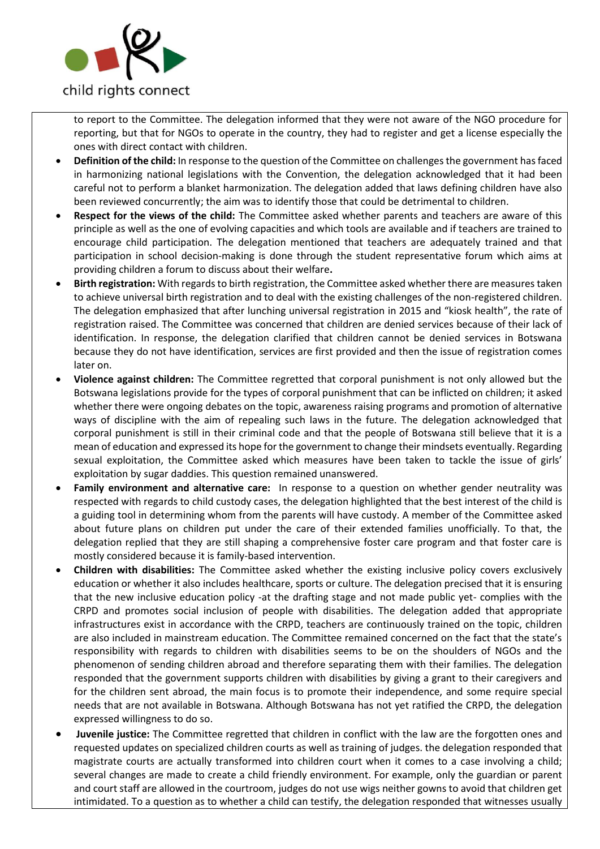

to report to the Committee. The delegation informed that they were not aware of the NGO procedure for reporting, but that for NGOs to operate in the country, they had to register and get a license especially the ones with direct contact with children.

- **Definition of the child:** In response to the question of the Committee on challenges the government has faced in harmonizing national legislations with the Convention, the delegation acknowledged that it had been careful not to perform a blanket harmonization. The delegation added that laws defining children have also been reviewed concurrently; the aim was to identify those that could be detrimental to children.
- **Respect for the views of the child:** The Committee asked whether parents and teachers are aware of this principle as well as the one of evolving capacities and which tools are available and if teachers are trained to encourage child participation. The delegation mentioned that teachers are adequately trained and that participation in school decision-making is done through the student representative forum which aims at providing children a forum to discuss about their welfare**.**
- **Birth registration:** With regards to birth registration, the Committee asked whether there are measures taken to achieve universal birth registration and to deal with the existing challenges of the non-registered children. The delegation emphasized that after lunching universal registration in 2015 and "kiosk health", the rate of registration raised. The Committee was concerned that children are denied services because of their lack of identification. In response, the delegation clarified that children cannot be denied services in Botswana because they do not have identification, services are first provided and then the issue of registration comes later on.
- **Violence against children:** The Committee regretted that corporal punishment is not only allowed but the Botswana legislations provide for the types of corporal punishment that can be inflicted on children; it asked whether there were ongoing debates on the topic, awareness raising programs and promotion of alternative ways of discipline with the aim of repealing such laws in the future. The delegation acknowledged that corporal punishment is still in their criminal code and that the people of Botswana still believe that it is a mean of education and expressed its hope for the government to change their mindsets eventually. Regarding sexual exploitation, the Committee asked which measures have been taken to tackle the issue of girls' exploitation by sugar daddies. This question remained unanswered.
- **Family environment and alternative care:** In response to a question on whether gender neutrality was respected with regards to child custody cases, the delegation highlighted that the best interest of the child is a guiding tool in determining whom from the parents will have custody. A member of the Committee asked about future plans on children put under the care of their extended families unofficially. To that, the delegation replied that they are still shaping a comprehensive foster care program and that foster care is mostly considered because it is family-based intervention.
- **Children with disabilities:** The Committee asked whether the existing inclusive policy covers exclusively education or whether it also includes healthcare, sports or culture. The delegation precised that it is ensuring that the new inclusive education policy -at the drafting stage and not made public yet- complies with the CRPD and promotes social inclusion of people with disabilities. The delegation added that appropriate infrastructures exist in accordance with the CRPD, teachers are continuously trained on the topic, children are also included in mainstream education. The Committee remained concerned on the fact that the state's responsibility with regards to children with disabilities seems to be on the shoulders of NGOs and the phenomenon of sending children abroad and therefore separating them with their families. The delegation responded that the government supports children with disabilities by giving a grant to their caregivers and for the children sent abroad, the main focus is to promote their independence, and some require special needs that are not available in Botswana. Although Botswana has not yet ratified the CRPD, the delegation expressed willingness to do so.
- **Juvenile justice:** The Committee regretted that children in conflict with the law are the forgotten ones and requested updates on specialized children courts as well as training of judges. the delegation responded that magistrate courts are actually transformed into children court when it comes to a case involving a child; several changes are made to create a child friendly environment. For example, only the guardian or parent and court staff are allowed in the courtroom, judges do not use wigs neither gowns to avoid that children get intimidated. To a question as to whether a child can testify, the delegation responded that witnesses usually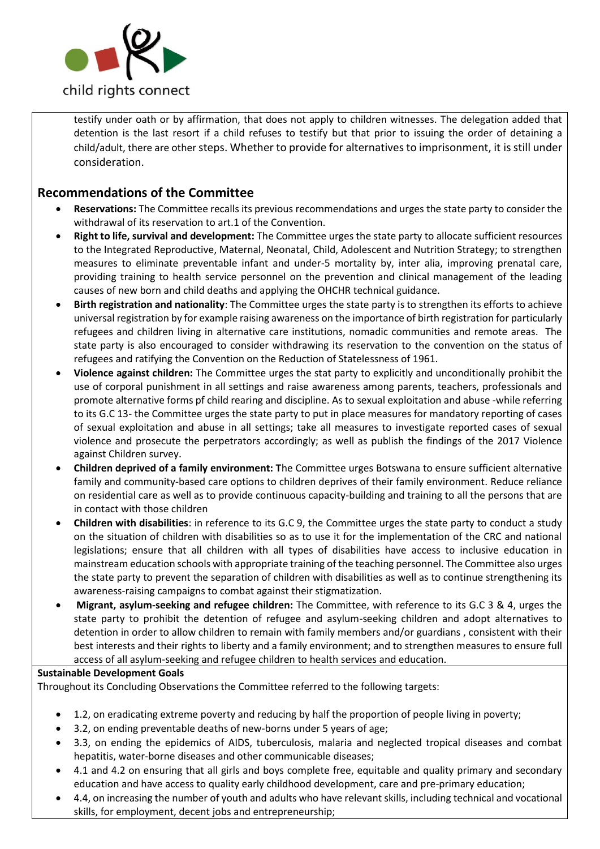

testify under oath or by affirmation, that does not apply to children witnesses. The delegation added that detention is the last resort if a child refuses to testify but that prior to issuing the order of detaining a child/adult, there are other steps. Whether to provide for alternatives to imprisonment, it is still under consideration.

## **Recommendations of the Committee**

- **Reservations:** The Committee recalls its previous recommendations and urges the state party to consider the withdrawal of its reservation to art.1 of the Convention.
- **Right to life, survival and development:** The Committee urges the state party to allocate sufficient resources to the Integrated Reproductive, Maternal, Neonatal, Child, Adolescent and Nutrition Strategy; to strengthen measures to eliminate preventable infant and under-5 mortality by, inter alia, improving prenatal care, providing training to health service personnel on the prevention and clinical management of the leading causes of new born and child deaths and applying the OHCHR technical guidance.
- **Birth registration and nationality**: The Committee urges the state party is to strengthen its efforts to achieve universal registration by for example raising awareness on the importance of birth registration for particularly refugees and children living in alternative care institutions, nomadic communities and remote areas. The state party is also encouraged to consider withdrawing its reservation to the convention on the status of refugees and ratifying the Convention on the Reduction of Statelessness of 1961.
- **Violence against children:** The Committee urges the stat party to explicitly and unconditionally prohibit the use of corporal punishment in all settings and raise awareness among parents, teachers, professionals and promote alternative forms pf child rearing and discipline. As to sexual exploitation and abuse -while referring to its G.C 13- the Committee urges the state party to put in place measures for mandatory reporting of cases of sexual exploitation and abuse in all settings; take all measures to investigate reported cases of sexual violence and prosecute the perpetrators accordingly; as well as publish the findings of the 2017 Violence against Children survey.
- **Children deprived of a family environment: T**he Committee urges Botswana to ensure sufficient alternative family and community-based care options to children deprives of their family environment. Reduce reliance on residential care as well as to provide continuous capacity-building and training to all the persons that are in contact with those children
- **Children with disabilities**: in reference to its G.C 9, the Committee urges the state party to conduct a study on the situation of children with disabilities so as to use it for the implementation of the CRC and national legislations; ensure that all children with all types of disabilities have access to inclusive education in mainstream education schools with appropriate training of the teaching personnel. The Committee also urges the state party to prevent the separation of children with disabilities as well as to continue strengthening its awareness-raising campaigns to combat against their stigmatization.
- **Migrant, asylum-seeking and refugee children:** The Committee, with reference to its G.C 3 & 4, urges the state party to prohibit the detention of refugee and asylum-seeking children and adopt alternatives to detention in order to allow children to remain with family members and/or guardians , consistent with their best interests and their rights to liberty and a family environment; and to strengthen measures to ensure full access of all asylum-seeking and refugee children to health services and education.

#### **Sustainable Development Goals**

Throughout its Concluding Observations the Committee referred to the following targets:

- 1.2, on eradicating extreme poverty and reducing by half the proportion of people living in poverty;
- 3.2, on ending preventable deaths of new-borns under 5 years of age;
- 3.3, on ending the epidemics of AIDS, tuberculosis, malaria and neglected tropical diseases and combat hepatitis, water-borne diseases and other communicable diseases;
- 4.1 and 4.2 on ensuring that all girls and boys complete free, equitable and quality primary and secondary education and have access to quality early childhood development, care and pre-primary education;
- 4.4, on increasing the number of youth and adults who have relevant skills, including technical and vocational skills, for employment, decent jobs and entrepreneurship: